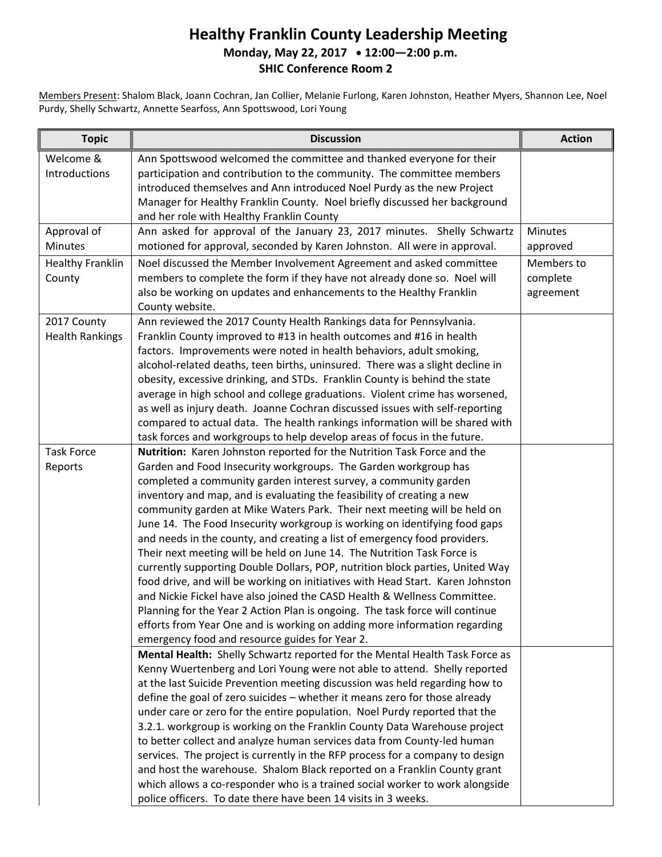## **Healthy Franklin County Leadership Meeting Monday, May 22, 2017 12:00—2:00 p.m. SHIC Conference Room 2**

Members Present: Shalom Black, Joann Cochran, Jan Collier, Melanie Furlong, Karen Johnston, Heather Myers, Shannon Lee, Noel Purdy, Shelly Schwartz, Annette Searfoss, Ann Spottswood, Lori Young

| <b>Topic</b>                          | <b>Discussion</b>                                                                                                                                                                                                                                                                                                                                                                                                                                                                                                                                                                                                                                                                                                                                                                                                                                                                                                                                                                                                                                                        | <b>Action</b>                       |
|---------------------------------------|--------------------------------------------------------------------------------------------------------------------------------------------------------------------------------------------------------------------------------------------------------------------------------------------------------------------------------------------------------------------------------------------------------------------------------------------------------------------------------------------------------------------------------------------------------------------------------------------------------------------------------------------------------------------------------------------------------------------------------------------------------------------------------------------------------------------------------------------------------------------------------------------------------------------------------------------------------------------------------------------------------------------------------------------------------------------------|-------------------------------------|
| Welcome &<br>Introductions            | Ann Spottswood welcomed the committee and thanked everyone for their<br>participation and contribution to the community. The committee members<br>introduced themselves and Ann introduced Noel Purdy as the new Project<br>Manager for Healthy Franklin County. Noel briefly discussed her background<br>and her role with Healthy Franklin County                                                                                                                                                                                                                                                                                                                                                                                                                                                                                                                                                                                                                                                                                                                      |                                     |
| Approval of<br>Minutes                | Ann asked for approval of the January 23, 2017 minutes. Shelly Schwartz<br>motioned for approval, seconded by Karen Johnston. All were in approval.                                                                                                                                                                                                                                                                                                                                                                                                                                                                                                                                                                                                                                                                                                                                                                                                                                                                                                                      | <b>Minutes</b><br>approved          |
| <b>Healthy Franklin</b><br>County     | Noel discussed the Member Involvement Agreement and asked committee<br>members to complete the form if they have not already done so. Noel will<br>also be working on updates and enhancements to the Healthy Franklin<br>County website.                                                                                                                                                                                                                                                                                                                                                                                                                                                                                                                                                                                                                                                                                                                                                                                                                                | Members to<br>complete<br>agreement |
| 2017 County<br><b>Health Rankings</b> | Ann reviewed the 2017 County Health Rankings data for Pennsylvania.<br>Franklin County improved to #13 in health outcomes and #16 in health<br>factors. Improvements were noted in health behaviors, adult smoking,<br>alcohol-related deaths, teen births, uninsured. There was a slight decline in<br>obesity, excessive drinking, and STDs. Franklin County is behind the state<br>average in high school and college graduations. Violent crime has worsened,<br>as well as injury death. Joanne Cochran discussed issues with self-reporting<br>compared to actual data. The health rankings information will be shared with<br>task forces and workgroups to help develop areas of focus in the future.                                                                                                                                                                                                                                                                                                                                                            |                                     |
| <b>Task Force</b><br>Reports          | Nutrition: Karen Johnston reported for the Nutrition Task Force and the<br>Garden and Food Insecurity workgroups. The Garden workgroup has<br>completed a community garden interest survey, a community garden<br>inventory and map, and is evaluating the feasibility of creating a new<br>community garden at Mike Waters Park. Their next meeting will be held on<br>June 14. The Food Insecurity workgroup is working on identifying food gaps<br>and needs in the county, and creating a list of emergency food providers.<br>Their next meeting will be held on June 14. The Nutrition Task Force is<br>currently supporting Double Dollars, POP, nutrition block parties, United Way<br>food drive, and will be working on initiatives with Head Start. Karen Johnston<br>and Nickie Fickel have also joined the CASD Health & Wellness Committee.<br>Planning for the Year 2 Action Plan is ongoing. The task force will continue<br>efforts from Year One and is working on adding more information regarding<br>emergency food and resource guides for Year 2. |                                     |
|                                       | Mental Health: Shelly Schwartz reported for the Mental Health Task Force as<br>Kenny Wuertenberg and Lori Young were not able to attend. Shelly reported<br>at the last Suicide Prevention meeting discussion was held regarding how to<br>define the goal of zero suicides - whether it means zero for those already<br>under care or zero for the entire population. Noel Purdy reported that the<br>3.2.1. workgroup is working on the Franklin County Data Warehouse project<br>to better collect and analyze human services data from County-led human<br>services. The project is currently in the RFP process for a company to design<br>and host the warehouse. Shalom Black reported on a Franklin County grant<br>which allows a co-responder who is a trained social worker to work alongside<br>police officers. To date there have been 14 visits in 3 weeks.                                                                                                                                                                                               |                                     |